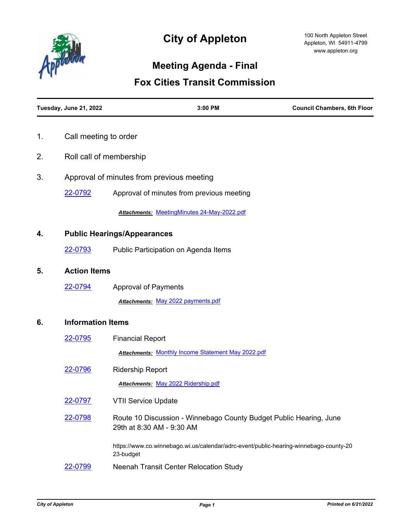

# **City of Appleton**

## **Meeting Agenda - Final**

### **Fox Cities Transit Commission**

|    | Tuesday, June 21, 2022                    | 3:00 PM                                                                                            | <b>Council Chambers, 6th Floor</b> |  |
|----|-------------------------------------------|----------------------------------------------------------------------------------------------------|------------------------------------|--|
| 1. | Call meeting to order                     |                                                                                                    |                                    |  |
| 2. | Roll call of membership                   |                                                                                                    |                                    |  |
| 3. | Approval of minutes from previous meeting |                                                                                                    |                                    |  |
|    | 22-0792                                   | Approval of minutes from previous meeting                                                          |                                    |  |
|    |                                           | Attachments: MeetingMinutes 24-May-2022.pdf                                                        |                                    |  |
| 4. | <b>Public Hearings/Appearances</b>        |                                                                                                    |                                    |  |
|    | 22-0793                                   | Public Participation on Agenda Items                                                               |                                    |  |
| 5. | <b>Action Items</b>                       |                                                                                                    |                                    |  |
|    | 22-0794                                   | <b>Approval of Payments</b>                                                                        |                                    |  |
|    |                                           | Attachments: May 2022 payments.pdf                                                                 |                                    |  |
| 6. | <b>Information Items</b>                  |                                                                                                    |                                    |  |
|    | 22-0795                                   | <b>Financial Report</b>                                                                            |                                    |  |
|    |                                           | <b>Attachments: Monthly Income Statement May 2022.pdf</b>                                          |                                    |  |
|    | 22-0796                                   | <b>Ridership Report</b>                                                                            |                                    |  |
|    |                                           | Attachments: May 2022 Ridership.pdf                                                                |                                    |  |
|    | 22-0797                                   | <b>VTII Service Update</b>                                                                         |                                    |  |
|    | 22-0798                                   | Route 10 Discussion - Winnebago County Budget Public Hearing, June<br>29th at 8:30 AM - 9:30 AM    |                                    |  |
|    |                                           | https://www.co.winnebago.wi.us/calendar/adrc-event/public-hearing-winnebago-county-20<br>23-budget |                                    |  |
|    | 22-0799                                   | Neenah Transit Center Relocation Study                                                             |                                    |  |